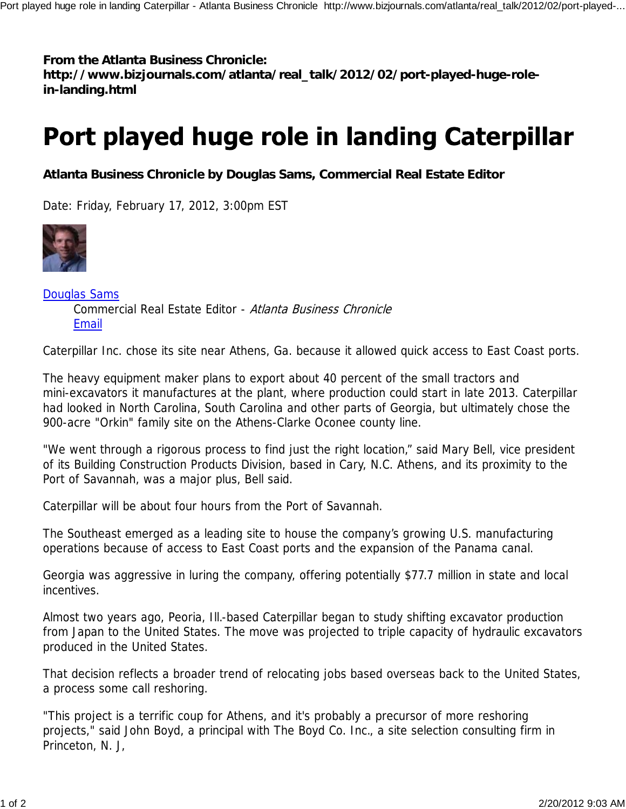## **From the Atlanta Business Chronicle:**

**http://www.bizjournals.com/atlanta/real\_talk/2012/02/port-played-huge-rolein-landing.html**

## Port played huge role in landing Caterpillar

**Atlanta Business Chronicle by Douglas Sams, Commercial Real Estate Editor**

Date: Friday, February 17, 2012, 3:00pm EST



Douglas Sams Commercial Real Estate Editor - Atlanta Business Chronicle Email

Caterpillar Inc. chose its site near Athens, Ga. because it allowed quick access to East Coast ports.

The heavy equipment maker plans to export about 40 percent of the small tractors and mini-excavators it manufactures at the plant, where production could start in late 2013. Caterpillar had looked in North Carolina, South Carolina and other parts of Georgia, but ultimately chose the 900-acre "Orkin" family site on the Athens-Clarke Oconee county line.

"We went through a rigorous process to find just the right location," said Mary Bell, vice president of its Building Construction Products Division, based in Cary, N.C. Athens, and its proximity to the Port of Savannah, was a major plus, Bell said.

Caterpillar will be about four hours from the Port of Savannah.

The Southeast emerged as a leading site to house the company's growing U.S. manufacturing operations because of access to East Coast ports and the expansion of the Panama canal.

Georgia was aggressive in luring the company, offering potentially \$77.7 million in state and local incentives.

Almost two years ago, Peoria, Ill.-based Caterpillar began to study shifting excavator production from Japan to the United States. The move was projected to triple capacity of hydraulic excavators produced in the United States.

That decision reflects a broader trend of relocating jobs based overseas back to the United States, a process some call reshoring.

"This project is a terrific coup for Athens, and it's probably a precursor of more reshoring projects," said John Boyd, a principal with The Boyd Co. Inc., a site selection consulting firm in Princeton, N. J,